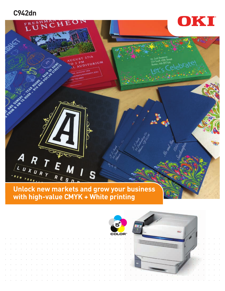## **C942dn**



**with high-value CMYK + White printing** 

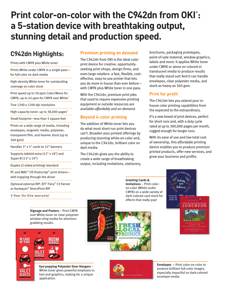# **Print color-on-color with the C942dn from OKI® : a 5-station device with breathtaking output, stunning detail and production speed.**

# **C942dn Highlights:**

Prints with CMYK plus White toner

Prints White under CMYK in a single pass for full color on dark media

High-density White toner for outstanding coverage on color stock

Print speed up to 50 ppm Color/Mono for CMYK; up to 45 ppm for CMYK over White $1$ 

True 1200 x 1200 dpi resolution

High-capacity toner: up to 38,000 pages $^2$ 

Small footprint—less than 5 square feet

Prints on a wide range of media, including envelopes, magnetic media, polyester, transparent film, and heavier stock (up to 360 gsm)

Handles 3" x 5" cards to 52" banners

Supports tabloid extra (12" x 18") and Super-B (13" x 19")

Duplex (2-sided printing) standard

PC and MAC<sup>®</sup> OS Postscript<sup>®</sup> print drivers with trapping through the driver

Optional external RIP: EFI® Fiery® C9 Server or Harlequin® DirectPrint RIP

3-Year On-Site warranty<sup>3</sup>

**Signage and Posters** – Print CMYK over White toner on clear polyester window-cling media for attentiongrabbing results.





**Eye-popping Polyester Door Hangers** – White toner gives powerful emphasis to text and graphics, making for a unique application.

#### **Premium printing on demand**

The C942dn from OKI is the ideal color print device for creative, opportunityseeking print shops, design firms, and even large retailers: a fast, flexible, costeffective, easy-to-use printer that lets you do more in house than ever before with CMYK plus White toner in one pass.

With the C942dn, premium print jobs that used to require expensive printing equipment or outside resources are available *affordably and on demand.*

### **Beyond 4-color printing**

The addition of White toner lets you do what most short-run print devices can't. Broaden your printed offerings by producing stunning white-on-color and, unique to the C942dn, brilliant color on dark media.

The C942dn gives you the ability to create a wide range of breathtaking output, including invitations, stationery,

brochures, packaging prototypes, point-of-sale material, window graphics, labels and more. It applies White toner under CMYK or alone on colored or translucent media to produce results that really stand out! And it can handle envelopes, clear polyester media, and stock as heavy as 360 gsm.

### **Print for profit**

The C942dn lets you extend your inhouse color printing capabilities from the expected to the extraordinary.

It's a new breed of print devices, perfect for short runs and, with a duty cycle rated at up to 300,000 pages per month, rugged enough for longer runs.

With its ease of use and low total cost of ownership, this affordable printing device enables you to produce premium printed products, offer new services, and grow your business and profits.

**Greeting Cards & Invitations** – Print coloron-color (White under CMYK) on a wide variety of dark-colored card stock for effects that really pop!







**Envelopes –** Print color-on-color to produce brilliant full-color images, especially impactful on dark-colored envelope media.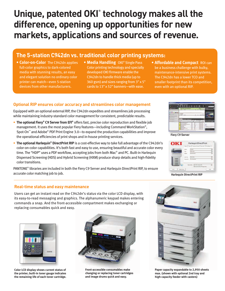# **Unique, patented OKI® technology makes all the difference, opening up opportunities for new markets, applications and sources of revenue.**

## **The 5-station C942dn vs. traditional color printing systems:**

- **Color-on-Color** The C942dn applies full-color graphics to dark-colored media with stunning results, an easy and elegant solution no ordinary color printer can match—even 5-station devices from other manufacturers.
- **Media Handling** OKI® Single Pass Color printing technology and specially developed OKI firmware enable the C942dn to handle thick media (up to 360 gsm) and sizes ranging from 3" x 5" cards to 13" x 52" banners—with ease.
- **Affordable and Compact** ROI can be a business challenge with bulky, maintenance-intensive print systems. The C942dn has a lower TCO and smaller footprint than its competition, even with an optional RIP.

#### **Optional RIP ensures color accuracy and streamlines color management**

Equipped with an optional external RIP, the C942dn expedites and streamlines job processing while maintaining industry-standard color management for consistent, predictable results.

- **The optional Fiery® C9 Server from EFI®** offers fast, precise color reproduction and flexible job management. It uses the most popular Fiery features—including Command WorkStation® , Spot-On™ and Adobe® PDF Print Engine 3.0—to expand the production capabilities and improve the operational efficiencies of print shops and in-house printing services.
- **The optional Harlequin<sup>®</sup> DirectPrint RIP** is a cost-effective way to take full advantage of the C942dn's color-on-color capabilities. It's both fast and easy to use, ensuring beautiful and accurate color every time. The "HDP" uses a PDF workflow, accepting jobs from both Mac® and PC. Built-in Harlequin Dispersed Screening (HDS) and Hybrid Screening (HXM) produce sharp details and high-fidelity color transitions.

PANTONE® libraries are included in both the Fiery C9 Server and Harlequin DirectPrint RIP, to ensure accurate color matching job to job.

#### **Real-time status and easy maintenance**

Users can get an instant read on the C942dn's status via the color LCD display, with its easy-to-read messaging and graphics. The alphanumeric keypad makes entering commands a snap. And the front-accessible compartment makes exchanging or replacing consumables quick and easy.



**Color LCD display shows current status of the printer; built-in toner gauge indicates the remaining life of each toner cartridge.**



**Front-accessible consumables make changing or replacing toner cartridges and image drums quick and easy.**



**Paper capacity expandable to 2,950 sheets max. (shown with optional 2nd tray and high-capacity feeder with casters)**



**Fiery C9 Server** 



**Harlequin DirectPrint RIP**